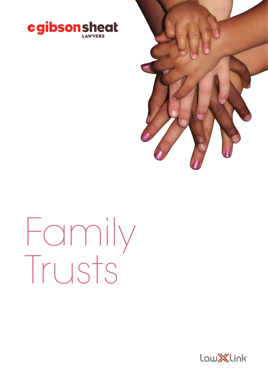



# Family Trusts

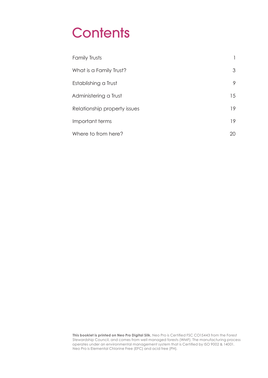# **Contents**

| <b>Family Trusts</b>         | 1  |
|------------------------------|----|
| What is a Family Trust?      | 3  |
| Establishing a Trust         | 9  |
| Administering a Trust        | 15 |
| Relationship property issues | 19 |
| Important terms              | 19 |
| Where to from here?          | 20 |

**This booklet is printed on Neo Pro Digital Silk.** Neo Pro is Certified FSC CO15443 from the Forest<br>Stewardship Council, and comes from well managed forests (WMF). The manufacturing process operates under an environmental management system that is Certified by ISO 9002 & 14001. Neo Pro is Elemental Chlorine Free (EFC) and acid free (PH).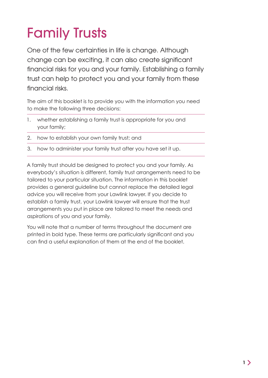# Family Trusts

One of the few certainties in life is change. Although change can be exciting, it can also create significant financial risks for you and your family. Establishing a family trust can help to protect you and your family from these financial risks.

The aim of this booklet is to provide you with the information you need to make the following three decisions:

- 1. whether establishing a family trust is appropriate for you and your family;
- 2. how to establish your own family trust; and
- 3. how to administer your family trust after you have set it up.

A family trust should be designed to protect you and your family. As everybody's situation is different, family trust arrangements need to be tailored to your particular situation. The information in this booklet provides a general guideline but cannot replace the detailed legal advice you will receive from your Lawlink lawyer. If you decide to establish a family trust, your Lawlink lawyer will ensure that the trust arrangements you put in place are tailored to meet the needs and aspirations of you and your family.

You will note that a number of terms throughout the document are printed in bold type. These terms are particularly significant and you can find a useful explanation of them at the end of the booklet.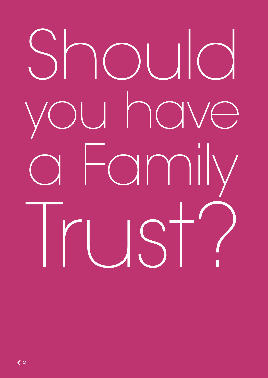# Should you have a Family Trust?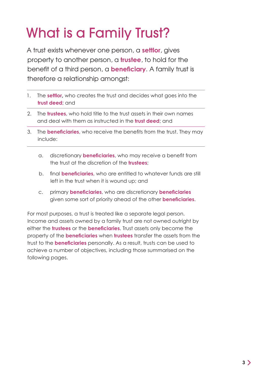# What is a Family Trust?

A trust exists whenever one person, a **settlor**, gives property to another person, a **trustee**, to hold for the benefit of a third person, a **beneficiary**. A family trust is therefore a relationship amongst:

- 1. The **settlor,** who creates the trust and decides what goes into the **trust deed**; and
- 2. The **trustees**, who hold title to the trust assets in their own names and deal with them as instructed in the **trust deed**; and
- 3. The **beneficiaries**, who receive the benefits from the trust. They may include:
	- a. discretionary **beneficiaries**, who may receive a benefit from the trust at the discretion of the **trustees**;
	- b. final **beneficiaries**, who are entitled to whatever funds are still left in the trust when it is wound up; and
	- c. primary **beneficiaries**, who are discretionary **beneficiaries**  given some sort of priority ahead of the other **beneficiaries**.

For most purposes, a trust is treated like a separate legal person. Income and assets owned by a family trust are not owned outright by either the **trustees** or the **beneficiaries**. Trust assets only become the property of the **beneficiaries** when **trustees** transfer the assets from the trust to the **beneficiaries** personally. As a result, trusts can be used to achieve a number of objectives, including those summarised on the following pages.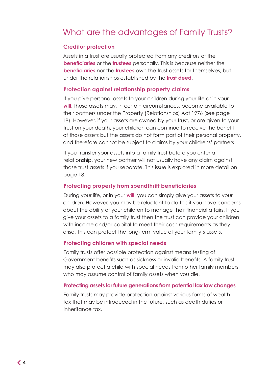# What are the advantages of Family Trusts?

## **Creditor protection**

Assets in a trust are usually protected from any creditors of the **beneficiaries** or the **trustees** personally. This is because neither the **beneficiaries** nor the **trustees** own the trust assets for themselves, but under the relationships established by the **trust deed**.

## **Protection against relationship property claims**

If you give personal assets to your children during your life or in your **will**, those assets may, in certain circumstances, become available to their partners under the Property (Relationships) Act 1976 (see page 18). However, if your assets are owned by your trust, or are given to your trust on your death, your children can continue to receive the benefit of those assets but the assets do not form part of their personal property, and therefore cannot be subject to claims by your childrens' partners.

If you transfer your assets into a family trust before you enter a relationship, your new partner will not usually have any claim against those trust assets if you separate. This issue is explored in more detail on page 18.

## **Protecting property from spendthrift beneficiaries**

During your life, or in your **will**, you can simply give your assets to your children. However, you may be reluctant to do this if you have concerns about the ability of your children to manage their financial affairs. If you give your assets to a family trust then the trust can provide your children with income and/or capital to meet their cash requirements as they arise. This can protect the long-term value of your family's assets.

#### **Protecting children with special needs**

Family trusts offer possible protection against means testing of Government benefits such as sickness or invalid benefits. A family trust may also protect a child with special needs from other family members who may assume control of family assets when you die.

#### **Protecting assets for future generations from potential tax law changes**

Family trusts may provide protection against various forms of wealth tax that may be introduced in the future, such as death duties or inheritance tax.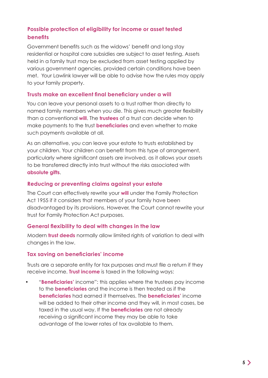## **Possible protection of eligibility for income or asset tested benefits**

Government benefits such as the widows' benefit and long stay residential or hospital care subsidies are subject to asset testing. Assets held in a family trust may be excluded from asset testing applied by various government agencies, provided certain conditions have been met. Your Lawlink lawyer will be able to advise how the rules may apply to your family property.

## **Trusts make an excellent final beneficiary under a will**

You can leave your personal assets to a trust rather than directly to named family members when you die. This gives much greater flexibility than a conventional **will**. The **trustees** of a trust can decide when to make payments to the trust **beneficiaries** and even whether to make such payments available at all.

As an alternative, you can leave your estate to trusts established by your children. Your children can benefit from this type of arrangement, particularly where significant assets are involved, as it allows your assets to be transferred directly into trust without the risks associated with **absolute gifts**.

## **Reducing or preventing claims against your estate**

The Court can effectively rewrite your **will** under the Family Protection Act 1955 if it considers that members of your family have been disadvantaged by its provisions. However, the Court cannot rewrite your trust for Family Protection Act purposes.

## **General flexibility to deal with changes in the law**

Modern **trust deeds** normally allow limited rights of variation to deal with changes in the law.

## **Tax saving on beneficiaries' income**

Trusts are a separate entity for tax purposes and must file a return if they receive income. **Trust income** is taxed in the following ways:

• "**Beneficiaries'** income": this applies where the trustees pay income to the **beneficiaries** and the income is then treated as if the **beneficiaries** had earned it themselves. The **beneficiaries'** income will be added to their other income and they will, in most cases, be taxed in the usual way. If the **beneficiaries** are not already receiving a significant income they may be able to take advantage of the lower rates of tax available to them.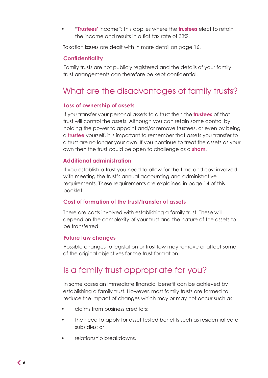• "**Trustees'** income": this applies where the **trustees** elect to retain the income and results in a flat tax rate of 33%.

Taxation issues are dealt with in more detail on page 16.

## **Confidentiality**

Family trusts are not publicly registered and the details of your family trust arrangements can therefore be kept confidential.

# What are the disadvantages of family trusts?

## **Loss of ownership of assets**

If you transfer your personal assets to a trust then the **trustees** of that trust will control the assets. Although you can retain some control by holding the power to appoint and/or remove trustees, or even by being a **trustee** yourself, it is important to remember that assets you transfer to a trust are no longer your own. If you continue to treat the assets as your own then the trust could be open to challenge as a **sham**.

## **Additional administration**

If you establish a trust you need to allow for the time and cost involved with meeting the trust's annual accounting and administrative requirements. These requirements are explained in page 14 of this booklet.

## **Cost of formation of the trust/transfer of assets**

There are costs involved with establishing a family trust. These will depend on the complexity of your trust and the nature of the assets to be transferred.

## **Future law changes**

Possible changes to legislation or trust law may remove or affect some of the original objectives for the trust formation.

# Is a family trust appropriate for you?

In some cases an immediate financial benefit can be achieved by establishing a family trust. However, most family trusts are formed to reduce the impact of changes which may or may not occur such as:

- claims from business creditors;
- the need to apply for asset tested benefits such as residential care subsidies; or
- relationship breakdowns.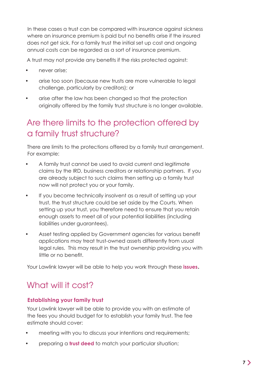In these cases a trust can be compared with insurance against sickness where an insurance premium is paid but no benefits arise if the insured does not get sick. For a family trust the initial set up cost and ongoing annual costs can be regarded as a sort of insurance premium.

A trust may not provide any benefits if the risks protected against:

- never arise;
- arise too soon (because new trusts are more vulnerable to legal challenge, particularly by creditors); or
- arise after the law has been changed so that the protection originally offered by the family trust structure is no longer available.

# Are there limits to the protection offered by a family trust structure?

There are limits to the protections offered by a family trust arrangement. For example:

- A family trust cannot be used to avoid current and legitimate claims by the IRD, business creditors or relationship partners. If you are already subject to such claims then setting up a family trust now will not protect you or your family.
- If you become technically insolvent as a result of setting up your trust, the trust structure could be set aside by the Courts. When setting up your trust, you therefore need to ensure that you retain enough assets to meet all of your potential liabilities (including liabilities under guarantees).
- Asset testing applied by Government agencies for various benefit applications may treat trust-owned assets differently from usual legal rules. This may result in the trust ownership providing you with little or no benefit.

Your Lawlink lawyer will be able to help you work through these **issues**.

# What will it cost?

## **Establishing your family trust**

Your Lawlink lawyer will be able to provide you with an estimate of the fees you should budget for to establish your family trust. The fee estimate should cover:

- meeting with you to discuss your intentions and requirements;
- preparing a **trust deed** to match your particular situation;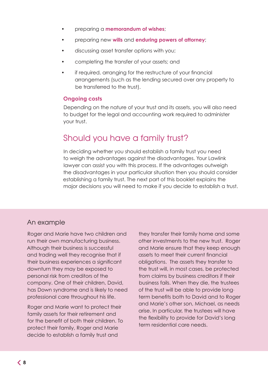- preparing a **memorandum of wishes**;
- preparing new **wills** and **enduring powers of attorney**;
- discussing asset transfer options with you;
- completing the transfer of your assets; and
- if required, arranging for the restructure of your financial arrangements (such as the lending secured over any property to be transferred to the trust).

## **Ongoing costs**

Depending on the nature of your trust and its assets, you will also need to budget for the legal and accounting work required to administer your trust.

# Should you have a family trust?

In deciding whether you should establish a family trust you need to weigh the advantages against the disadvantages. Your Lawlink lawyer can assist you with this process. If the advantages outweigh the disadvantages in your particular situation then you should consider establishing a family trust. The next part of this booklet explains the major decisions you will need to make if you decide to establish a trust.

## An example

Roger and Marie have two children and run their own manufacturing business. Although their business is successful and trading well they recognise that if their business experiences a significant downturn they may be exposed to personal risk from creditors of the company. One of their children, David, has Down syndrome and is likely to need professional care throughout his life.

Roger and Marie want to protect their family assets for their retirement and for the benefit of both their children. To protect their family, Roger and Marie decide to establish a family trust and

they transfer their family home and some other investments to the new trust. Roger and Marie ensure that they keep enough assets to meet their current financial obligations. The assets they transfer to the trust will, in most cases, be protected from claims by business creditors if their business fails. When they die, the trustees of the trust will be able to provide longterm benefits both to David and to Roger and Marie's other son, Michael, as needs arise. In particular, the trustees will have the flexibility to provide for David's long term residential care needs.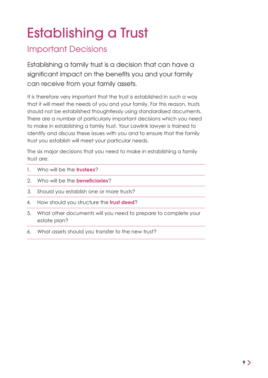# Establishing a Trust

# Important Decisions

Establishing a family trust is a decision that can have a significant impact on the benefits you and your family can receive from your family assets.

It is therefore very important that the trust is established in such a way that it will meet the needs of you and your family. For this reason, trusts should not be established thoughtlessly using standardised documents. There are a number of particularly important decisions which you need to make in establishing a family trust. Your Lawlink lawyer is trained to identify and discuss these issues with you and to ensure that the family trust you establish will meet your particular needs.

The six major decisions that you need to make in establishing a family trust are:

- 1. Who will be the **trustees**?
- 2. Who will be the **beneficiaries**?
- 3. Should you establish one or more trusts?
- 4. How should you structure the **trust deed**?
- 5. What other documents will you need to prepare to complete your estate plan?
- 6. What assets should you transfer to the new trust?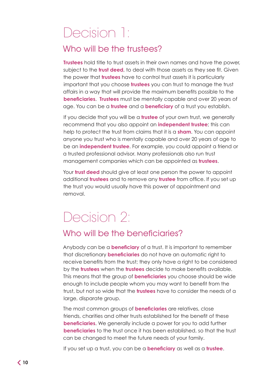# Decision 1:

# Who will be the trustees?

**Trustees** hold title to trust assets in their own names and have the power, subject to the **trust deed**, to deal with those assets as they see fit. Given the power that **trustees** have to control trust assets it is particularly important that you choose **trustees** you can trust to manage the trust affairs in a way that will provide the maximum benefits possible to the **beneficiaries**. **Trustees** must be mentally capable and over 20 years of age. You can be a **trustee** and a **beneficiary** of a trust you establish.

If you decide that you will be a **trustee** of your own trust, we generally recommend that you also appoint an **independent trustee**; this can help to protect the trust from claims that it is a **sham**. You can appoint anyone you trust who is mentally capable and over 20 years of age to be an **independent trustee**. For example, you could appoint a friend or a trusted professional advisor. Many professionals also run trust management companies which can be appointed as **trustees**.

Your **trust deed** should give at least one person the power to appoint additional **trustees** and to remove any **trustee** from office. If you set up the trust you would usually have this power of appointment and removal.

# Decision 2:

# Who will be the beneficiaries?

Anybody can be a **beneficiary** of a trust. It is important to remember that discretionary **beneficiaries** do not have an automatic right to receive benefits from the trust; they only have a right to be considered by the **trustees** when the **trustees** decide to make benefits available. This means that the group of **beneficiaries** you choose should be wide enough to include people whom you may want to benefit from the trust, but not so wide that the **trustees** have to consider the needs of a large, disparate group.

The most common groups of **beneficiaries** are relatives, close friends, charities and other trusts established for the benefit of these **beneficiaries**. We generally include a power for you to add further **beneficiaries** to the trust once it has been established, so that the trust can be changed to meet the future needs of your family.

If you set up a trust, you can be a **beneficiary** as well as a **trustee**.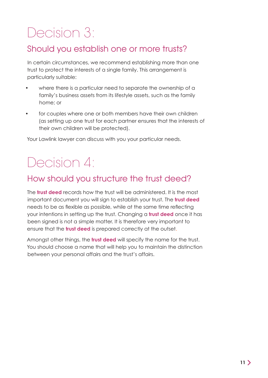# Decision 3:

# Should you establish one or more trusts?

In certain circumstances, we recommend establishing more than one trust to protect the interests of a single family. This arrangement is particularly suitable:

- where there is a particular need to separate the ownership of a family's business assets from its lifestyle assets, such as the family home; or
- for couples where one or both members have their own children (as setting up one trust for each partner ensures that the interests of their own children will be protected).

Your Lawlink lawyer can discuss with you your particular needs.

# Decision 4:

# How should you structure the trust deed?

The **trust deed** records how the trust will be administered. It is the most important document you will sign to establish your trust. The **trust deed**  needs to be as flexible as possible, while at the same time reflecting your intentions in setting up the trust. Changing a **trust deed** once it has been signed is not a simple matter. It is therefore very important to ensure that the **trust deed** is prepared correctly at the outset.

Amongst other things, the **trust deed** will specify the name for the trust. You should choose a name that will help you to maintain the distinction between your personal affairs and the trust's affairs.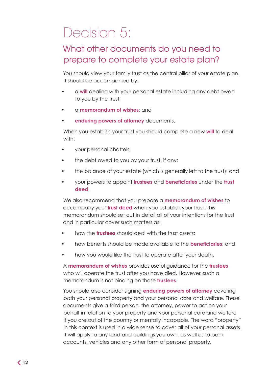# Decision 5:

# What other documents do you need to prepare to complete your estate plan?

You should view your family trust as the central pillar of your estate plan. It should be accompanied by:

- a **will** dealing with your personal estate including any debt owed to you by the trust;
- a **memorandum of wishes**; and
- **enduring powers of attorney** documents.

When you establish your trust you should complete a new **will** to deal with:

- your personal chattels;
- the debt owed to you by your trust, if any;
- the balance of your estate (which is generally left to the trust); and
- your powers to appoint **trustees** and **beneficiaries** under the **trust deed**.

We also recommend that you prepare a **memorandum of wishes** to accompany your **trust deed** when you establish your trust. This memorandum should set out in detail all of your intentions for the trust and in particular cover such matters as:

- how the **trustees** should deal with the trust assets;
- how benefits should be made available to the **beneficiaries**; and
- how you would like the trust to operate after your death.

A **memorandum of wishes** provides useful guidance for the **trustees**  who will operate the trust after you have died. However, such a memorandum is not binding on those **trustees**.

You should also consider signing **enduring powers of attorney** covering both your personal property and your personal care and welfare. These documents give a third person, the attorney, power to act on your behalf in relation to your property and your personal care and welfare if you are out of the country or mentally incapable. The word "property" in this context is used in a wide sense to cover all of your personal assets. It will apply to any land and buildings you own, as well as to bank accounts, vehicles and any other form of personal property.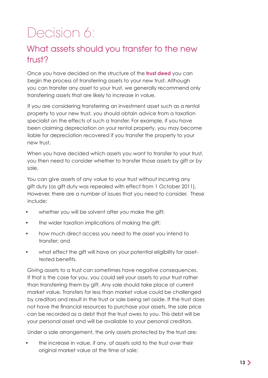# Decision 6:

# What assets should you transfer to the new trust?

Once you have decided on the structure of the **trust deed** you can begin the process of transferring assets to your new trust. Although you can transfer any asset to your trust, we generally recommend only transferring assets that are likely to increase in value.

If you are considering transferring an investment asset such as a rental property to your new trust, you should obtain advice from a taxation specialist on the effects of such a transfer. For example, if you have been claiming depreciation on your rental property, you may become liable for depreciation recovered if you transfer the property to your new trust.

When you have decided which assets you want to transfer to your trust, you then need to consider whether to transfer those assets by gift or by sale.

You can give assets of any value to your trust without incurring any gift duty (as gift duty was repealed with effect from 1 October 2011). However, there are a number of issues that you need to consider. These include:

- whether you will be solvent after you make the gift;
- the wider taxation implications of making the gift;
- how much direct access you need to the asset you intend to transfer; and
- what effect the gift will have on your potential eligibility for assettested benefits.

Giving assets to a trust can sometimes have negative consequences. If that is the case for you, you could sell your assets to your trust rather than transferring them by gift. Any sale should take place at current market value. Transfers for less than market value could be challenged by creditors and result in the trust or sale being set aside. If the trust does not have the financial resources to purchase your assets, the sale price can be recorded as a debt that the trust owes to you. This debt will be your personal asset and will be available to your personal creditors.

Under a sale arrangement, the only assets protected by the trust are:

• the increase in value, if any, of assets sold to the trust over their original market value at the time of sale;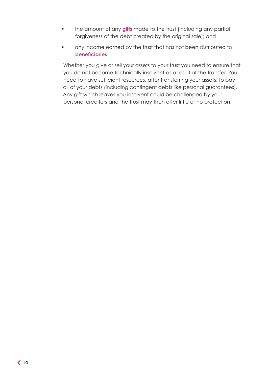- the amount of any **gifts** made to the trust (including any partial forgiveness of the debt created by the original sale); and
- any income earned by the trust that has not been distributed to **beneficiaries**.

Whether you give or sell your assets to your trust you need to ensure that you do not become technically insolvent as a result of the transfer. You need to have sufficient resources, after transferring your assets, to pay all of your debts (including contingent debts like personal guarantees). Any gift which leaves you insolvent could be challenged by your personal creditors and the trust may then offer little or no protection.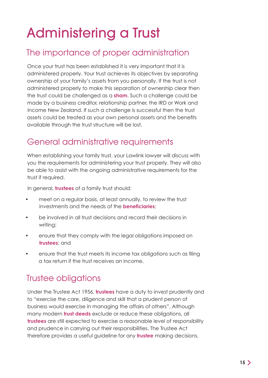# Administering a Trust

# The importance of proper administration

Once your trust has been established it is very important that it is administered properly. Your trust achieves its objectives by separating ownership of your family's assets from you personally. If the trust is not administered properly to make this separation of ownership clear then the trust could be challenged as a **sham**. Such a challenge could be made by a business creditor, relationship partner, the IRD or Work and Income New Zealand. If such a challenge is successful then the trust assets could be treated as your own personal assets and the benefits available through the trust structure will be lost.

# General administrative requirements

When establishing your family trust, your Lawlink lawyer will discuss with you the requirements for administering your trust properly. They will also be able to assist with the ongoing administrative requirements for the trust if required.

In general, **trustees** of a family trust should:

- meet on a regular basis, at least annually, to review the trust investments and the needs of the **beneficiaries**;
- be involved in all trust decisions and record their decisions in writing;
- ensure that they comply with the legal obligations imposed on **trustees**; and
- ensure that the trust meets its income tax obligations such as filing a tax return if the trust receives an income.

# Trustee obligations

Under the Trustee Act 1956, **trustees** have a duty to invest prudently and to "exercise the care, diligence and skill that a prudent person of business would exercise in managing the affairs of others". Although many modern **trust deeds** exclude or reduce these obligations, all **trustees** are still expected to exercise a reasonable level of responsibility and prudence in carrying out their responsibilities. The Trustee Act therefore provides a useful guideline for any **trustee** making decisions.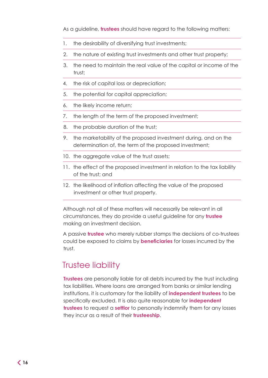As a guideline, **trustees** should have regard to the following matters:

- 1. the desirability of diversifying trust investments;
- 2. the nature of existing trust investments and other trust property;
- 3. the need to maintain the real value of the capital or income of the trust:
- 4. the risk of capital loss or depreciation;
- 5. the potential for capital appreciation;
- 6. the likely income return;
- 7. the length of the term of the proposed investment;
- 8. the probable duration of the trust;
- 9. the marketability of the proposed investment during, and on the determination of, the term of the proposed investment;
- 10. the aggregate value of the trust assets;
- 11. the effect of the proposed investment in relation to the tax liability of the trust; and
- 12. the likelihood of inflation affecting the value of the proposed investment or other trust property.

Although not all of these matters will necessarily be relevant in all circumstances, they do provide a useful guideline for any **trustee**  making an investment decision.

A passive **trustee** who merely rubber stamps the decisions of co‑trustees could be exposed to claims by **beneficiaries** for losses incurred by the trust.

# Trustee liability

**Trustees** are personally liable for all debts incurred by the trust including tax liabilities. Where loans are arranged from banks or similar lending institutions, it is customary for the liability of **independent trustees** to be specifically excluded. It is also quite reasonable for **independent trustees** to request a **settlor** to personally indemnify them for any losses they incur as a result of their **trusteeship**.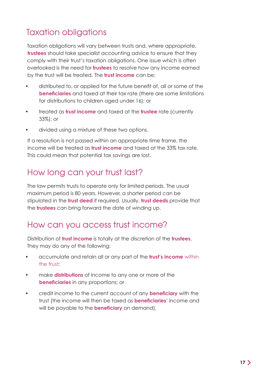# Taxation obligations

Taxation obligations will vary between trusts and, where appropriate, **trustees** should take specialist accounting advice to ensure that they comply with their trust's taxation obligations. One issue which is often overlooked is the need for **trustees** to resolve how any income earned by the trust will be treated. The **trust income** can be:

- distributed to, or applied for the future benefit of, all or some of the **beneficiaries** and taxed at their tax rate (there are some limitations for distributions to children aged under 16); or
- treated as **trust income** and taxed at the **trustee** rate (currently 33%); or
- divided using a mixture of these two options.

If a resolution is not passed within an appropriate time frame, the income will be treated as **trust income** and taxed at the 33% tax rate. This could mean that potential tax savings are lost.

# How long can your trust last?

The law permits trusts to operate only for limited periods. The usual maximum period is 80 years. However, a shorter period can be stipulated in the **trust deed** if required. Usually, **trust deeds** provide that the **trustees** can bring forward the date of winding up.

# How can you access trust income?

Distribution of **trust income** is totally at the discretion of the **trustees**. They may do any of the following:

- accumulate and retain all or any part of the **trust's income** within the trust;
- make **distributions** of income to any one or more of the **beneficiaries** in any proportions; or
- credit income to the current account of any **beneficiary** with the trust (the income will then be taxed as **beneficiaries'** income and will be payable to the **beneficiary** on demand).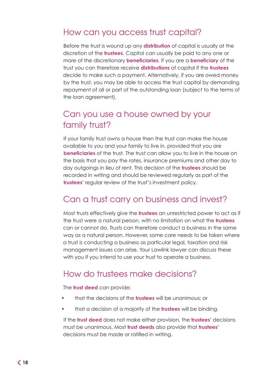# How can you access trust capital?

Before the trust is wound up any **distribution** of capital is usually at the discretion of the **trustees**. Capital can usually be paid to any one or more of the discretionary **beneficiaries**. If you are a **beneficiary** of the trust you can therefore receive **distributions** of capital if the **trustees**  decide to make such a payment. Alternatively, if you are owed money by the trust, you may be able to access the trust capital by demanding repayment of all or part of the outstanding loan (subject to the terms of the loan agreement).

# Can you use a house owned by your family trust?

If your family trust owns a house then the trust can make the house available to you and your family to live in, provided that you are **beneficiaries** of the trust. The trust can allow you to live in the house on the basis that you pay the rates, insurance premiums and other day to day outgoings in lieu of rent. This decision of the **trustees** should be recorded in writing and should be reviewed regularly as part of the **trustees'** regular review of the trust's investment policy.

# Can a trust carry on business and invest?

Most trusts effectively give the **trustees** an unrestricted power to act as if the trust were a natural person, with no limitation on what the **trustees**  can or cannot do. Trusts can therefore conduct a business in the same way as a natural person. However, some care needs to be taken where a trust is conducting a business as particular legal, taxation and risk management issues can arise. Your Lawlink lawyer can discuss these with you if you intend to use your trust to operate a business.

# How do trustees make decisions?

The **trust deed** can provide:

- that the decisions of the **trustees** will be unanimous; or
- that a decision of a majority of the **trustees** will be binding.

If the **trust deed** does not make either provision, the **trustees'** decisions must be unanimous. Most **trust deeds** also provide that **trustees'**  decisions must be made or ratified in writing.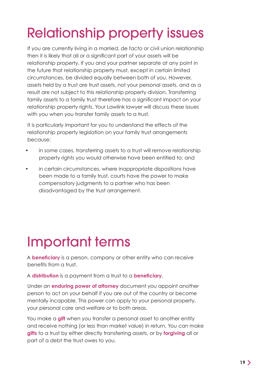# Relationship property issues

If you are currently living in a married, de facto or civil union relationship then it is likely that all or a significant part of your assets will be relationship property. If you and your partner separate at any point in the future that relationship property must, except in certain limited circumstances, be divided equally between both of you. However, assets held by a trust are trust assets, not your personal assets, and as a result are not subject to this relationship property division. Transferring family assets to a family trust therefore has a significant impact on your relationship property rights. Your Lawlink lawyer will discuss these issues with you when you transfer family assets to a trust.

It is particularly important for you to understand the effects of the relationship property legislation on your family trust arrangements because:

- in some cases, transferring assets to a trust will remove relationship property rights you would otherwise have been entitled to; and
- in certain circumstances, where inappropriate dispositions have been made to a family trust, courts have the power to make compensatory judgments to a partner who has been disadvantaged by the trust arrangement.

# Important terms

A **beneficiary** is a person, company or other entity who can receive benefits from a trust.

A **distribution** is a payment from a trust to a **beneficiary**.

Under an **enduring power of attorney** document you appoint another person to act on your behalf if you are out of the country or become mentally incapable. This power can apply to your personal property, your personal care and welfare or to both areas.

You make a **gift** when you transfer a personal asset to another entity and receive nothing (or less than market value) in return. You can make **gifts** to a trust by either directly transferring assets, or by **forgiving** all or part of a debt the trust owes to you.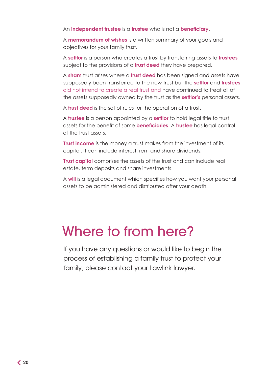An **independent trustee** is a **trustee** who is not a **beneficiary**.

A **memorandum of wishes** is a written summary of your goals and objectives for your family trust.

A **settlor** is a person who creates a trust by transferring assets to **trustees**  subject to the provisions of a **trust deed** they have prepared.

A **sham** trust arises where a **trust deed** has been signed and assets have supposedly been transferred to the new trust but the **settlor** and **trustees**  did not intend to create a real trust and have continued to treat all of the assets supposedly owned by the trust as the **settlor's** personal assets.

A **trust deed** is the set of rules for the operation of a trust.

A **trustee** is a person appointed by a **settlor** to hold legal title to trust assets for the benefit of some **beneficiaries**. A **trustee** has legal control of the trust assets.

**Trust income** is the money a trust makes from the investment of its capital. It can include interest, rent and share dividends.

**Trust capital** comprises the assets of the trust and can include real estate, term deposits and share investments.

A **will** is a legal document which specifies how you want your personal assets to be administered and distributed after your death.

# Where to from here?

If you have any questions or would like to begin the process of establishing a family trust to protect your family, please contact your Lawlink lawyer.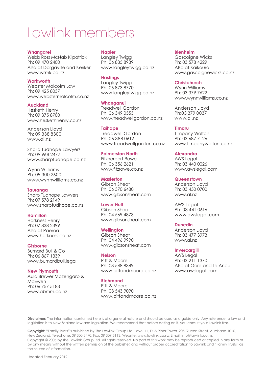# Lawlink members

**Whangarei** Webb Ross McNab Kilpatrick Ph: 09 470 2400 Also at Dargaville and Kerikeri www.wrmk.co.nz

#### **Warkworth**

Webster Malcolm Law Ph: 09 425 8037 www.webstermalcolm.co.nz

#### **Auckland**

Hesketh Henry Ph: 09 375 8700 www.heskethhenry.co.nz

Anderson Lloyd Ph: 09 338 8300 www.al.nz

Sharp Tudhope Lawyers Ph: 09 968 2477 www.sharptudhope.co.nz

Wynn Williams Ph: 09 300 2600 www.wynnwilliams.co.nz

#### **Tauranga**

Sharp Tudhope Lawyers Ph: 07 578 2149 www.sharptudhope.co.nz

#### **Hamilton**

Harkness Henry Ph: 07 838 2399 Also at Paeroa www.harkness.co.nz

#### **Gisborne**

Burnard Bull & Co Ph: 06 867 1339 www.burnardbull.legal

#### **New Plymouth**

Auld Brewer Mazengarb & McEwen Ph: 06 757 5183 www.abmm.co.nz

#### **Napier**

Langley Twigg Ph: 06 835 8939 www.langleytwigg.co.nz

#### **Hastings**

Langley Twigg Ph: 06 873 8770 www.langleytwigg.co.nz

#### **Whanganui**

Treadwell Gordon Ph: 06 349 0555 www.treadwellgordon.co.nz

#### **Taihape**

Treadwell Gordon Ph: 06 388 0612 www.treadwellgordon.co.nz

#### **Palmerston North**

Fitzherbert Rowe Ph: 06 356 2621 www.fitzrowe.co.nz

#### **Masterton**

Gibson Sheat Ph: 06 370 6480 www.gibsonsheat.com

#### **Lower Hutt**

Gibson Sheat Ph: 04 569 4873 www.gibsonsheat.com

#### **Wellington**

Gibson Sheat Ph: 04 496 9990 www.gibsonsheat.com

#### **Nelson**

Pitt & Moore Ph: 03 548 8349 www.pittandmoore.co.nz

#### **Richmond**

Pitt & Moore Ph: 03 543 9090 www.pittandmoore.co.nz

#### **Blenheim**

Gascoigne Wicks Ph: 03 578 4229 Also at Kaikoura www.gascoignewicks.co.nz

#### **Christchurch**

Wynn Williams Ph: 03 379 7622 www.wynnwilliams.co.nz

Anderson Lloyd Ph:03 379 0037 www.al.nz

#### **Timaru**

Timpany Walton Ph: 03 687 7126 www.timpanywalton.co.nz

#### **Alexandra**

AWS Legal Ph: 03 440 0026 www.awslegal.com

#### **Queenstown**

Anderson Lloyd Ph: 03 450 0700 www.al.nz

AWS Legal Ph: 03 441 0616 www.awslegal.com

## **Dunedin**

Anderson Lloyd Ph: 03 477 3973 www.al.nz

#### **Invercargill**

**AWS Legal** Ph: 03 211 1370 Also at Gore and Te Anau www.awslegal.com

**Disclaimer:** The information contained here is of a general nature and should be used as a guide only. Any reference to law and legislation is to New Zealand law and legislation. We recommend that before acting on it, you consult your Lawlink firm.

**Copyright:** "Family Trusts"is published by The Lawlink Group Ltd. Level 11, DLA Piper Tower, 205 Queen Street, Auckland 1010, New Zealand. Telephone: 09 300 5470, Fax: 09 309 5113, Website: www.lawlink.co.nz, Email: info@lawlink.co.nz. Copyright © 2005 by The Lawlink Group Ltd. All rights reserved. No part of this work may be reproduced or copied in any form or by any means without the written permission of the publisher, and without proper accreditation to Lawlink and "Family Trusts" as the source of information.